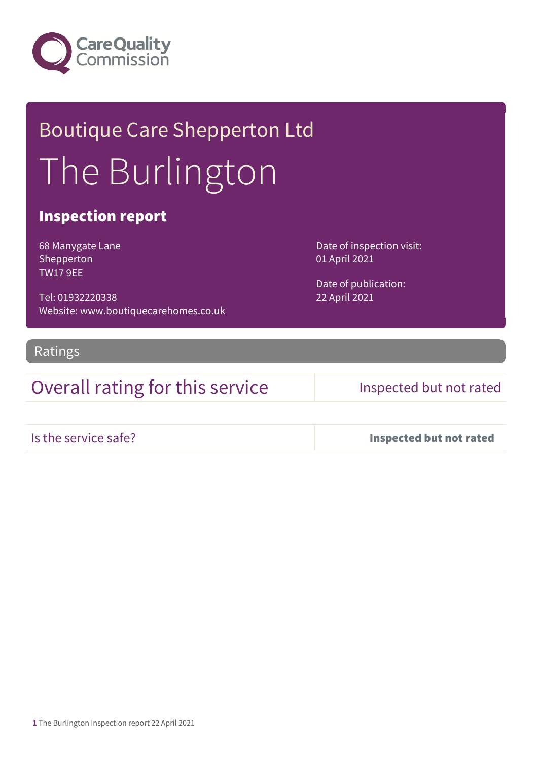

## Boutique Care Shepperton Ltd The Burlington

### Inspection report

68 Manygate Lane Shepperton TW17 9EE

Tel: 01932220338 Website: www.boutiquecarehomes.co.uk

Ratings

Overall rating for this service Inspected but not rated

Date of inspection visit:

Date of publication:

01 April 2021

22 April 2021

Is the service safe? Inspected but not rated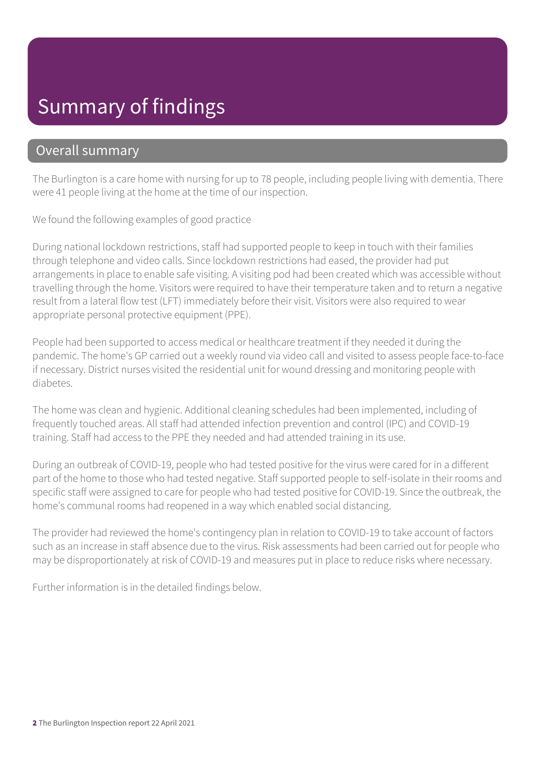## Summary of findings

### Overall summary

The Burlington is a care home with nursing for up to 78 people, including people living with dementia. There were 41 people living at the home at the time of our inspection.

We found the following examples of good practice

During national lockdown restrictions, staff had supported people to keep in touch with their families through telephone and video calls. Since lockdown restrictions had eased, the provider had put arrangements in place to enable safe visiting. A visiting pod had been created which was accessible without travelling through the home. Visitors were required to have their temperature taken and to return a negative result from a lateral flow test (LFT) immediately before their visit. Visitors were also required to wear appropriate personal protective equipment (PPE).

People had been supported to access medical or healthcare treatment if they needed it during the pandemic. The home's GP carried out a weekly round via video call and visited to assess people face-to-face if necessary. District nurses visited the residential unit for wound dressing and monitoring people with diabetes.

The home was clean and hygienic. Additional cleaning schedules had been implemented, including of frequently touched areas. All staff had attended infection prevention and control (IPC) and COVID-19 training. Staff had access to the PPE they needed and had attended training in its use.

During an outbreak of COVID-19, people who had tested positive for the virus were cared for in a different part of the home to those who had tested negative. Staff supported people to self-isolate in their rooms and specific staff were assigned to care for people who had tested positive for COVID-19. Since the outbreak, the home's communal rooms had reopened in a way which enabled social distancing.

The provider had reviewed the home's contingency plan in relation to COVID-19 to take account of factors such as an increase in staff absence due to the virus. Risk assessments had been carried out for people who may be disproportionately at risk of COVID-19 and measures put in place to reduce risks where necessary.

Further information is in the detailed findings below.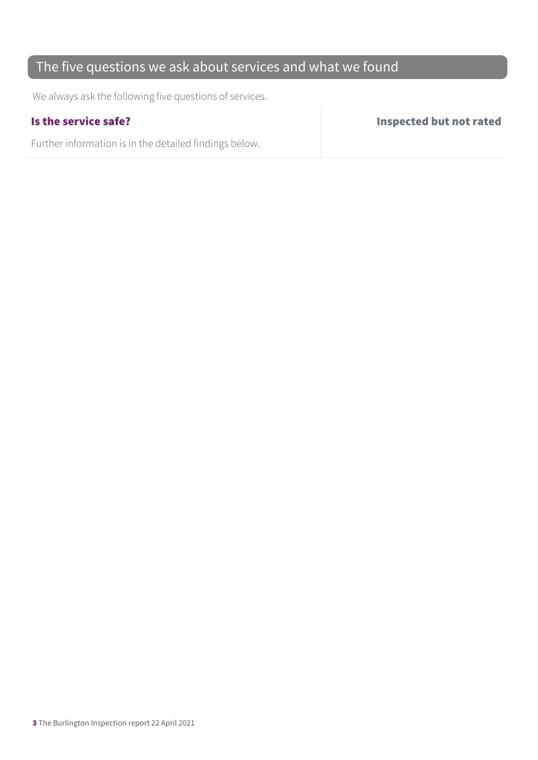### The five questions we ask about services and what we found

We always ask the following five questions of services.

Further information is in the detailed findings below.

Is the service safe? Inspected but not rated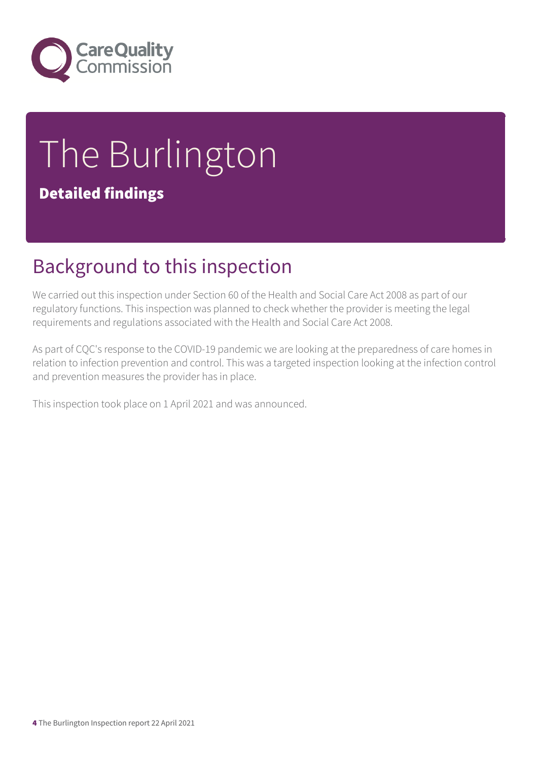

# The Burlington

### Detailed findings

## Background to this inspection

We carried out this inspection under Section 60 of the Health and Social Care Act 2008 as part of our regulatory functions. This inspection was planned to check whether the provider is meeting the legal requirements and regulations associated with the Health and Social Care Act 2008.

As part of CQC's response to the COVID-19 pandemic we are looking at the preparedness of care homes in relation to infection prevention and control. This was a targeted inspection looking at the infection control and prevention measures the provider has in place.

This inspection took place on 1 April 2021 and was announced.